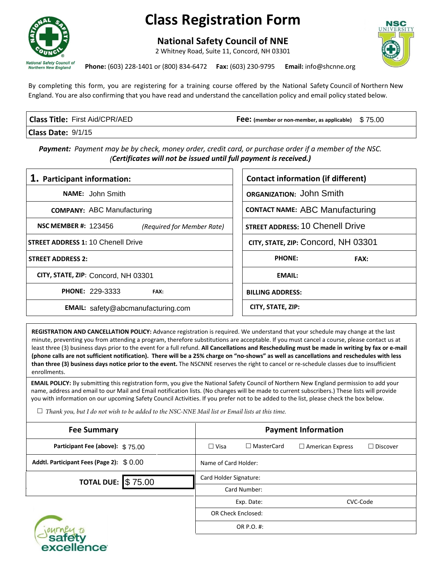

## **Class Registration Form**

**National Safety Council of NNE**

2 Whitney Road, Suite 11, Concord, NH 03301



**Phone:** (603) 228-1401 or (800) 834-6472 **Fax:** (603) 230-9795 **Email:** info@shcnne.org

By completing this form, you are registering for a training course offered by the National Safety Council of Northern New England. You are also confirming that you have read and understand the cancellation policy and email policy stated below.

| <b>Class Title: First Aid/CPR/AED</b> | <b>Fee:</b> (member or non-member, as applicable) $$75.00$ |  |
|---------------------------------------|------------------------------------------------------------|--|
| Class Date: 9/1/15                    |                                                            |  |

| Class Date: 9/1/15                                                                                                                                                                |                                           |  |
|-----------------------------------------------------------------------------------------------------------------------------------------------------------------------------------|-------------------------------------------|--|
| <b>Payment:</b> Payment may be by check, money order, credit card, or purchase order if a member of the NSC.<br>(Certificates will not be issued until full payment is received.) |                                           |  |
| 1. Participant information:                                                                                                                                                       | <b>Contact information (if different)</b> |  |
| <b>NAME:</b> John Smith                                                                                                                                                           | ORGANIZATION: John Smith                  |  |
| <b>COMPANY: ABC Manufacturing</b>                                                                                                                                                 | <b>CONTACT NAME: ABC Manufacturing</b>    |  |
| <b>NSC MEMBER #: 123456</b><br>(Required for Member Rate)                                                                                                                         | <b>STREET ADDRESS: 10 Chenell Drive</b>   |  |
| <b>STREET ADDRESS 1: 10 Chenell Drive</b>                                                                                                                                         | CITY, STATE, ZIP: Concord, NH 03301       |  |
| <b>STREET ADDRESS 2:</b>                                                                                                                                                          | <b>PHONE:</b><br><b>FAX:</b>              |  |
| CITY, STATE, ZIP: Concord, NH 03301                                                                                                                                               | <b>EMAIL:</b>                             |  |
| <b>PHONE: 229-3333</b><br>FAX:                                                                                                                                                    | <b>BILLING ADDRESS:</b>                   |  |
| <b>EMAIL:</b> safety@abcmanufacturing.com                                                                                                                                         | CITY, STATE, ZIP:                         |  |

**REGISTRATION AND CANCELLATION POLICY:** Advance registration is required. We understand that your schedule may change at the last minute, preventing you from attending a program, therefore substitutions are acceptable. If you must cancel a course, please contact us at least three (3) business days prior to the event for a full refund. **All Cancellations and Rescheduling must be made in writing by fax or e-mail (phone calls are not sufficient notification). There will be a 25% charge on "no-shows" as well as cancellations and reschedules with less than three (3) business days notice prior to the event.** The NSCNNE reserves the right to cancel or re-schedule classes due to insufficient enrollments.

**EMAIL POLICY:** By submitting this registration form, you give the National Safety Council of Northern New England permission to add your name, address and email to our Mail and Email notification lists. (No changes will be made to current subscribers.) These lists will provide you with information on our upcoming Safety Council Activities. If you prefer not to be added to the list, please check the box below.

*Thank you, but I do not wish to be added to the NSC-NNE Mail list or Email lists at this time.*

excellence

| <b>Fee Summary</b>                        |                           | <b>Payment Information</b> |                         |                 |
|-------------------------------------------|---------------------------|----------------------------|-------------------------|-----------------|
| Participant Fee (above): \$75.00          | $\Box$ Visa               | $\Box$ MasterCard          | $\Box$ American Express | $\Box$ Discover |
| Addtl. Participant Fees (Page 2): \$ 0.00 |                           | Name of Card Holder:       |                         |                 |
| <b>TOTAL DUE: \$75.00</b>                 |                           | Card Holder Signature:     |                         |                 |
|                                           |                           | Card Number:               |                         |                 |
|                                           |                           | CVC-Code<br>Exp. Date:     |                         |                 |
|                                           | <b>OR Check Enclosed:</b> |                            |                         |                 |
|                                           |                           | OR P.O. #:                 |                         |                 |